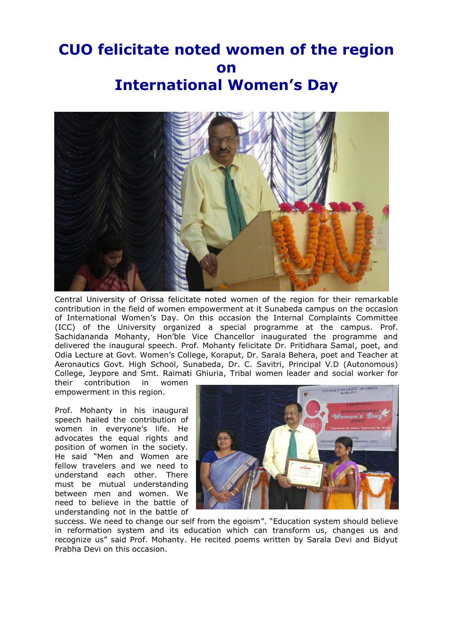## **CUO felicitate noted women of the region on International Women's Day**



Central University of Orissa felicitate noted women of the region for their remarkable contribution in the field of women empowerment at it Sunabeda campus on the occasion of International Women's Day. On this occasion the Internal Complaints Committee (ICC) of the University organized a special programme at the campus. Prof. Sachidananda Mohanty, Hon'ble Vice Chancellor inaugurated the programme and delivered the inaugural speech. Prof. Mohanty felicitate Dr. Pritidhara Samal, poet, and Odia Lecture at Govt. Women's College, Koraput, Dr. Sarala Behera, poet and Teacher at Aeronautics Govt. High School, Sunabeda, Dr. C. Savitri, Principal V.D (Autonomous) College, Jeypore and Smt. Raimati Ghiuria, Tribal women leader and social worker for

their contribution in women empowerment in this region.

Prof. Mohanty in his inaugural speech hailed the contribution of women in everyone's life. He advocates the equal rights and position of women in the society. He said "Men and Women are fellow travelers and we need to understand each other. There must be mutual understanding between men and women. We need to believe in the battle of understanding not in the battle of



success. We need to change our self from the egoism". "Education system should believe in reformation system and its education which can transform us, changes us and recognize us" said Prof. Mohanty. He recited poems written by Sarala Devi and Bidyut Prabha Devi on this occasion.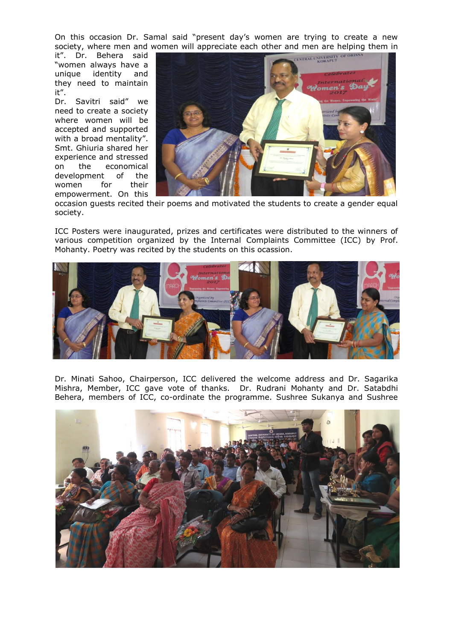On this occasion Dr. Samal said "present day's women are trying to create a new society, where men and women will appreciate each other and men are helping them in

it". Dr. Behera said "women always have a unique identity and they need to maintain it".

Dr. Savitri said" we need to create a society where women will be accepted and supported with a broad mentality". Smt. Ghiuria shared her experience and stressed on the economical development of the women for their empowerment. On this



occasion guests recited their poems and motivated the students to create a gender equal society.

ICC Posters were inaugurated, prizes and certificates were distributed to the winners of various competition organized by the Internal Complaints Committee (ICC) by Prof. Mohanty. Poetry was recited by the students on this ocassion.



Dr. Minati Sahoo, Chairperson, ICC delivered the welcome address and Dr. Sagarika Mishra, Member, ICC gave vote of thanks. Dr. Rudrani Mohanty and Dr. Satabdhi Behera, members of ICC, co-ordinate the programme. Sushree Sukanya and Sushree